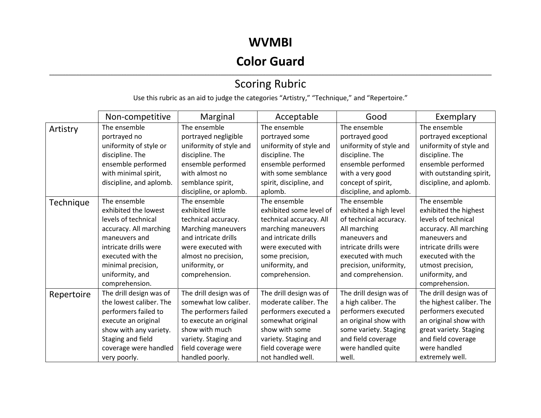### **WVMBI**

## **Color Guard**

#### ,我们也不会不会不会。""我们的,我们也不会不会不会不会不会不会不会不会。""我们的,我们也不会不会不会不会不会不会不会不会。""我们的,我们也不会不会不会不会 Scoring Rubric

Use this rubric as an aid to judge the categories "Artistry," "Technique," and "Repertoire."

|            | Non-competitive         | Marginal                | Acceptable              | Good                    | Exemplary                |
|------------|-------------------------|-------------------------|-------------------------|-------------------------|--------------------------|
| Artistry   | The ensemble            | The ensemble            | The ensemble            | The ensemble            | The ensemble             |
|            | portrayed no            | portrayed negligible    | portrayed some          | portrayed good          | portrayed exceptional    |
|            | uniformity of style or  | uniformity of style and | uniformity of style and | uniformity of style and | uniformity of style and  |
|            | discipline. The         | discipline. The         | discipline. The         | discipline. The         | discipline. The          |
|            | ensemble performed      | ensemble performed      | ensemble performed      | ensemble performed      | ensemble performed       |
|            | with minimal spirit,    | with almost no          | with some semblance     | with a very good        | with outstanding spirit, |
|            | discipline, and aplomb. | semblance spirit,       | spirit, discipline, and | concept of spirit,      | discipline, and aplomb.  |
|            |                         | discipline, or aplomb.  | aplomb.                 | discipline, and aplomb. |                          |
| Technique  | The ensemble            | The ensemble            | The ensemble            | The ensemble            | The ensemble             |
|            | exhibited the lowest    | exhibited little        | exhibited some level of | exhibited a high level  | exhibited the highest    |
|            | levels of technical     | technical accuracy.     | technical accuracy. All | of technical accuracy.  | levels of technical      |
|            | accuracy. All marching  | Marching maneuvers      | marching maneuvers      | All marching            | accuracy. All marching   |
|            | maneuvers and           | and intricate drills    | and intricate drills    | maneuvers and           | maneuvers and            |
|            | intricate drills were   | were executed with      | were executed with      | intricate drills were   | intricate drills were    |
|            | executed with the       | almost no precision,    | some precision,         | executed with much      | executed with the        |
|            | minimal precision,      | uniformity, or          | uniformity, and         | precision, uniformity,  | utmost precision,        |
|            | uniformity, and         | comprehension.          | comprehension.          | and comprehension.      | uniformity, and          |
|            | comprehension.          |                         |                         |                         | comprehension.           |
| Repertoire | The drill design was of | The drill design was of | The drill design was of | The drill design was of | The drill design was of  |
|            | the lowest caliber. The | somewhat low caliber.   | moderate caliber. The   | a high caliber. The     | the highest caliber. The |
|            | performers failed to    | The performers failed   | performers executed a   | performers executed     | performers executed      |
|            | execute an original     | to execute an original  | somewhat original       | an original show with   | an original show with    |
|            | show with any variety.  | show with much          | show with some          | some variety. Staging   | great variety. Staging   |
|            | Staging and field       | variety. Staging and    | variety. Staging and    | and field coverage      | and field coverage       |
|            | coverage were handled   | field coverage were     | field coverage were     | were handled quite      | were handled             |
|            | very poorly.            | handled poorly.         | not handled well.       | well.                   | extremely well.          |